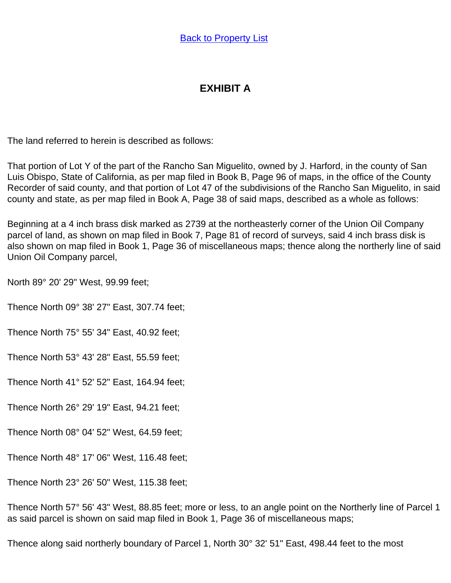## **EXHIBIT A**

The land referred to herein is described as follows:

That portion of Lot Y of the part of the Rancho San Miguelito, owned by J. Harford, in the county of San Luis Obispo, State of California, as per map filed in Book B, Page 96 of maps, in the office of the County Recorder of said county, and that portion of Lot 47 of the subdivisions of the Rancho San Miguelito, in said county and state, as per map filed in Book A, Page 38 of said maps, described as a whole as follows:

Beginning at a 4 inch brass disk marked as 2739 at the northeasterly corner of the Union Oil Company parcel of land, as shown on map filed in Book 7, Page 81 of record of surveys, said 4 inch brass disk is also shown on map filed in Book 1, Page 36 of miscellaneous maps; thence along the northerly line of said Union Oil Company parcel,

North 89° 20' 29" West, 99.99 feet;

Thence North 09° 38' 27" East, 307.74 feet;

Thence North 75° 55' 34" East, 40.92 feet;

Thence North 53° 43' 28" East, 55.59 feet;

Thence North 41° 52' 52" East, 164.94 feet;

Thence North 26° 29' 19" East, 94.21 feet;

Thence North 08° 04' 52" West, 64.59 feet;

Thence North 48° 17' 06" West, 116.48 feet;

Thence North 23° 26' 50" West, 115.38 feet;

Thence North 57° 56' 43" West, 88.85 feet; more or less, to an angle point on the Northerly line of Parcel 1 as said parcel is shown on said map filed in Book 1, Page 36 of miscellaneous maps;

Thence along said northerly boundary of Parcel 1, North 30° 32' 51" East, 498.44 feet to the most